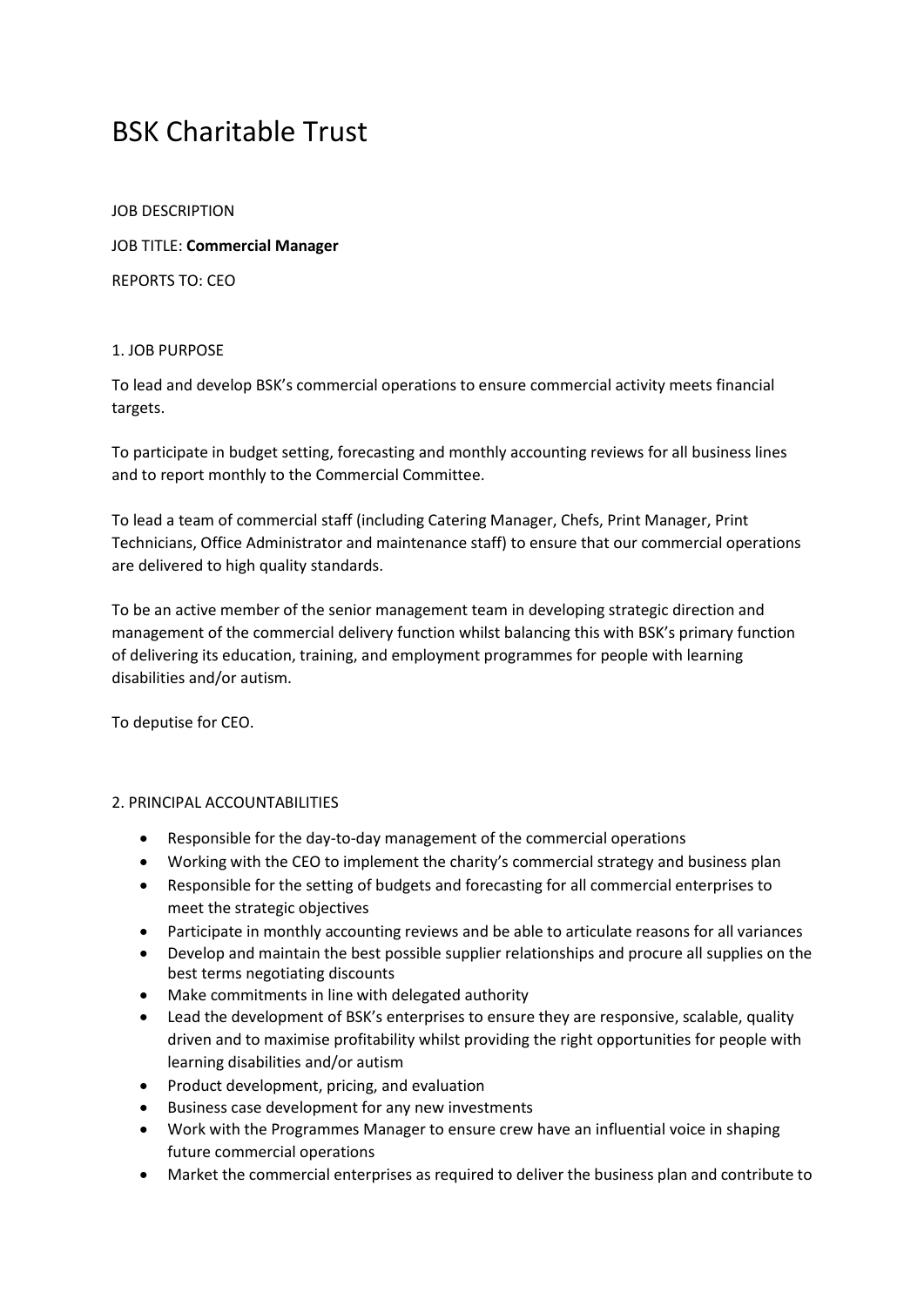## BSK Charitable Trust

JOB DESCRIPTION

JOB TITLE: **Commercial Manager**

REPORTS TO: CEO

## 1. JOB PURPOSE

To lead and develop BSK's commercial operations to ensure commercial activity meets financial targets.

To participate in budget setting, forecasting and monthly accounting reviews for all business lines and to report monthly to the Commercial Committee.

To lead a team of commercial staff (including Catering Manager, Chefs, Print Manager, Print Technicians, Office Administrator and maintenance staff) to ensure that our commercial operations are delivered to high quality standards.

To be an active member of the senior management team in developing strategic direction and management of the commercial delivery function whilst balancing this with BSK's primary function of delivering its education, training, and employment programmes for people with learning disabilities and/or autism.

To deputise for CEO.

## 2. PRINCIPAL ACCOUNTABILITIES

- Responsible for the day-to-day management of the commercial operations
- Working with the CEO to implement the charity's commercial strategy and business plan
- Responsible for the setting of budgets and forecasting for all commercial enterprises to meet the strategic objectives
- Participate in monthly accounting reviews and be able to articulate reasons for all variances
- Develop and maintain the best possible supplier relationships and procure all supplies on the best terms negotiating discounts
- Make commitments in line with delegated authority
- Lead the development of BSK's enterprises to ensure they are responsive, scalable, quality driven and to maximise profitability whilst providing the right opportunities for people with learning disabilities and/or autism
- Product development, pricing, and evaluation
- Business case development for any new investments
- Work with the Programmes Manager to ensure crew have an influential voice in shaping future commercial operations
- Market the commercial enterprises as required to deliver the business plan and contribute to